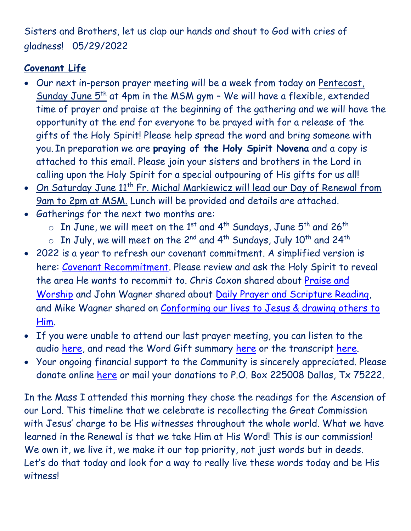Sisters and Brothers, let us clap our hands and shout to God with cries of gladness! 05/29/2022

## **Covenant Life**

- Our next in-person prayer meeting will be a week from today on Pentecost, Sunday June  $5<sup>th</sup>$  at 4pm in the MSM gym - We will have a flexible, extended time of prayer and praise at the beginning of the gathering and we will have the opportunity at the end for everyone to be prayed with for a release of the gifts of the Holy Spirit! Please help spread the word and bring someone with you. In preparation we are **praying of the Holy Spirit Novena** and a copy is attached to this email. Please join your sisters and brothers in the Lord in calling upon the Holy Spirit for a special outpouring of His gifts for us all!
- On Saturday June 11<sup>th</sup> Fr. Michal Markiewicz will lead our Day of Renewal from 9am to 2pm at MSM. Lunch will be provided and details are attached.
- Gatherings for the next two months are:
	- $\circ$  In June, we will meet on the 1st and 4<sup>th</sup> Sundays, June 5<sup>th</sup> and 26<sup>th</sup>
	- $\circ$  In July, we will meet on the 2<sup>nd</sup> and 4<sup>th</sup> Sundays, July 10<sup>th</sup> and 24<sup>th</sup>
- 2022 is a year to refresh our covenant commitment. A simplified version is here: [Covenant Recommitment.](https://godsdelight.org/2022-covenant-recommitment) Please review and ask the Holy Spirit to reveal the area He wants to recommit to. Chris Coxon shared about [Praise and](https://godsdelight.s3.us-east-1.amazonaws.com/leaders/audio_video/teachings/PM2022410CoxonSharing.mp3)  [Worship](https://godsdelight.s3.us-east-1.amazonaws.com/leaders/audio_video/teachings/PM2022410CoxonSharing.mp3) and John Wagner shared about [Daily Prayer and Scripture Reading,](https://godsdelight.s3.us-east-1.amazonaws.com/leaders/audio_video/teachings/PM20220424JWagnerSharing.mp3) and Mike Wagner shared on Conforming our lives to Jesus & drawing others to [Him.](https://godsdelight.s3.us-east-1.amazonaws.com/leaders/audio_video/teachings/PM20220515MWagnerSharing.mp3)
- If you were unable to attend our last prayer meeting, you can listen to the audio [here,](https://godsdelight.org/gatherings-audio) and read the Word Gift summary [here](https://godsdelight.org/gathering-summaries) or the transcript [here.](https://godsdelight.org/gathering-transcipts)
- Your ongoing financial support to the Community is sincerely appreciated. Please donate online [here](http://www.godsdelight.org/) or mail your donations to P.O. Box 225008 Dallas, Tx 75222.

In the Mass I attended this morning they chose the readings for the Ascension of our Lord. This timeline that we celebrate is recollecting the Great Commission with Jesus' charge to be His witnesses throughout the whole world. What we have learned in the Renewal is that we take Him at His Word! This is our commission! We own it, we live it, we make it our top priority, not just words but in deeds. Let's do that today and look for a way to really live these words today and be His witness!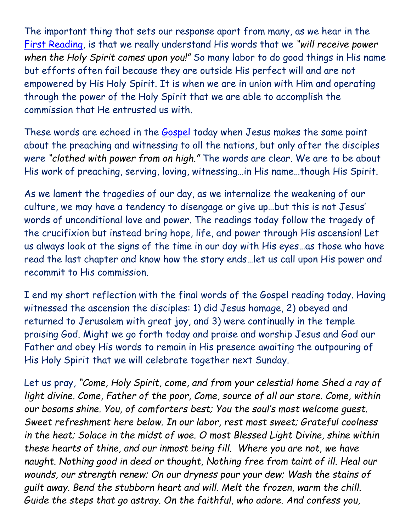The important thing that sets our response apart from many, as we hear in the [First Reading,](https://bible.usccb.org/bible/acts/1) is that we really understand His words that we *"will receive power when the Holy Spirit comes upon you!"* So many labor to do good things in His name but efforts often fail because they are outside His perfect will and are not empowered by His Holy Spirit. It is when we are in union with Him and operating through the power of the Holy Spirit that we are able to accomplish the commission that He entrusted us with.

These words are echoed in the [Gospel](https://bible.usccb.org/bible/luke/24?46) today when Jesus makes the same point about the preaching and witnessing to all the nations, but only after the disciples were *"clothed with power from on high."* The words are clear. We are to be about His work of preaching, serving, loving, witnessing…in His name…though His Spirit.

As we lament the tragedies of our day, as we internalize the weakening of our culture, we may have a tendency to disengage or give up…but this is not Jesus' words of unconditional love and power. The readings today follow the tragedy of the crucifixion but instead bring hope, life, and power through His ascension! Let us always look at the signs of the time in our day with His eyes…as those who have read the last chapter and know how the story ends…let us call upon His power and recommit to His commission.

I end my short reflection with the final words of the Gospel reading today. Having witnessed the ascension the disciples: 1) did Jesus homage, 2) obeyed and returned to Jerusalem with great joy, and 3) were continually in the temple praising God. Might we go forth today and praise and worship Jesus and God our Father and obey His words to remain in His presence awaiting the outpouring of His Holy Spirit that we will celebrate together next Sunday.

Let us pray, *"Come, Holy Spirit, come, and from your celestial home Shed a ray of light divine. Come, Father of the poor, Come, source of all our store. Come, within our bosoms shine. You, of comforters best; You the soul's most welcome guest. Sweet refreshment here below. In our labor, rest most sweet; Grateful coolness in the heat; Solace in the midst of woe. O most Blessed Light Divine, shine within these hearts of thine, and our inmost being fill. Where you are not, we have naught. Nothing good in deed or thought, Nothing free from taint of ill. Heal our wounds, our strength renew; On our dryness pour your dew; Wash the stains of guilt away. Bend the stubborn heart and will. Melt the frozen, warm the chill. Guide the steps that go astray. On the faithful, who adore. And confess you,*